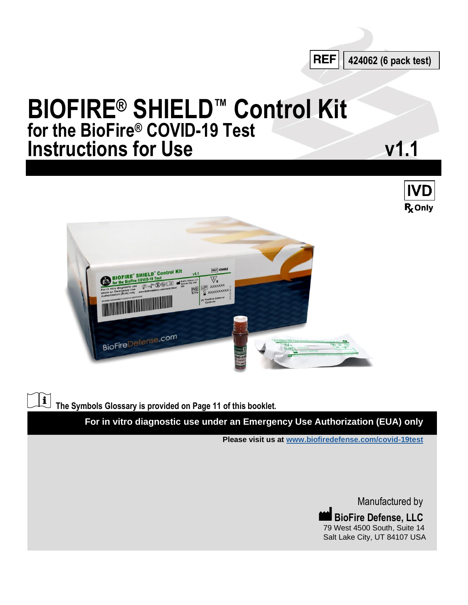

# **BIOFIRE® SHIELD™ Control Kit for the BioFire® COVID-19 Test Instructions for Use v1.1**





**The Symbols Glossary is provided on Page 11 of this booklet.**

 $\mathbf{i}$ 

**For in vitro diagnostic use under an Emergency Use Authorization (EUA) only**

**Please visit us at www.biofiredefense.com/covid-19test**

Manufactured by **BioFire Defense, LLC** 79 West 4500 South, Suite 14 Salt Lake City, UT 84107 USA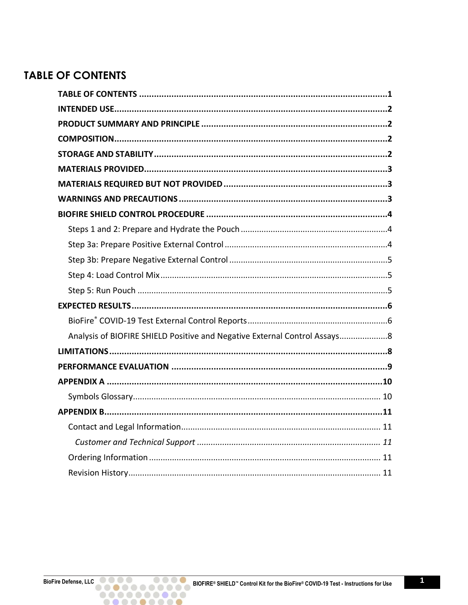# <span id="page-1-0"></span>**TABLE OF CONTENTS**

| Analysis of BIOFIRE SHIELD Positive and Negative External Control Assays8 |
|---------------------------------------------------------------------------|
|                                                                           |
|                                                                           |
|                                                                           |
|                                                                           |
|                                                                           |
|                                                                           |
|                                                                           |
|                                                                           |
|                                                                           |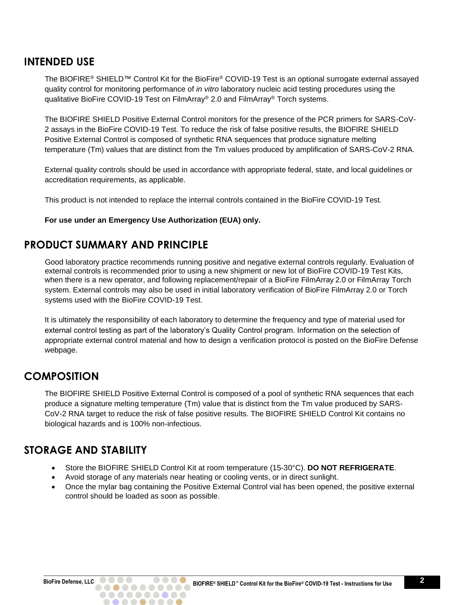#### <span id="page-2-0"></span>**INTENDED USE**

The BIOFIRE® SHIELD™ Control Kit for the BioFire® COVID-19 Test is an optional surrogate external assayed quality control for monitoring performance of *in vitro* laboratory nucleic acid testing procedures using the qualitative BioFire COVID-19 Test on FilmArray® 2.0 and FilmArray® Torch systems.

The BIOFIRE SHIELD Positive External Control monitors for the presence of the PCR primers for SARS-CoV-2 assays in the BioFire COVID-19 Test. To reduce the risk of false positive results, the BIOFIRE SHIELD Positive External Control is composed of synthetic RNA sequences that produce signature melting temperature (Tm) values that are distinct from the Tm values produced by amplification of SARS-CoV-2 RNA.

External quality controls should be used in accordance with appropriate federal, state, and local guidelines or accreditation requirements, as applicable.

This product is not intended to replace the internal controls contained in the BioFire COVID-19 Test.

#### **For use under an Emergency Use Authorization (EUA) only.**

#### <span id="page-2-1"></span>**PRODUCT SUMMARY AND PRINCIPLE**

Good laboratory practice recommends running positive and negative external controls regularly. Evaluation of external controls is recommended prior to using a new shipment or new lot of BioFire COVID-19 Test Kits, when there is a new operator, and following replacement/repair of a BioFire FilmArray 2.0 or FilmArray Torch system. External controls may also be used in initial laboratory verification of BioFire FilmArray 2.0 or Torch systems used with the BioFire COVID-19 Test.

It is ultimately the responsibility of each laboratory to determine the frequency and type of material used for external control testing as part of the laboratory's Quality Control program. Information on the selection of appropriate external control material and how to design a verification protocol is posted on the BioFire Defense webpage.

### <span id="page-2-2"></span>**COMPOSITION**

The BIOFIRE SHIELD Positive External Control is composed of a pool of synthetic RNA sequences that each produce a signature melting temperature (Tm) value that is distinct from the Tm value produced by SARS-CoV-2 RNA target to reduce the risk of false positive results. The BIOFIRE SHIELD Control Kit contains no biological hazards and is 100% non-infectious.

### <span id="page-2-3"></span>**STORAGE AND STABILITY**

- Store the BIOFIRE SHIELD Control Kit at room temperature (15-30°C). **DO NOT REFRIGERATE**.
- Avoid storage of any materials near heating or cooling vents, or in direct sunlight.
- Once the mylar bag containing the Positive External Control vial has been opened, the positive external control should be loaded as soon as possible.

..........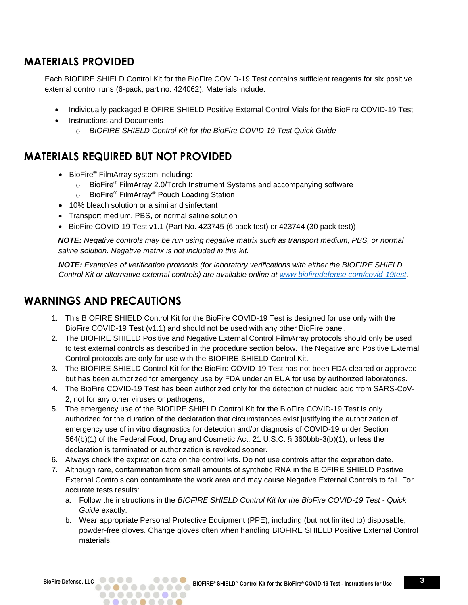# <span id="page-3-0"></span>**MATERIALS PROVIDED**

Each BIOFIRE SHIELD Control Kit for the BioFire COVID-19 Test contains sufficient reagents for six positive external control runs (6-pack; part no. 424062). Materials include:

- Individually packaged BIOFIRE SHIELD Positive External Control Vials for the BioFire COVID-19 Test
- **Instructions and Documents** 
	- o *BIOFIRE SHIELD Control Kit for the BioFire COVID-19 Test Quick Guide*

## <span id="page-3-1"></span>**MATERIALS REQUIRED BUT NOT PROVIDED**

- BioFire<sup>®</sup> FilmArray system including:
	- o BioFire® FilmArray 2.0/Torch Instrument Systems and accompanying software
	- o BioFire® FilmArray® Pouch Loading Station
- 10% bleach solution or a similar disinfectant
- Transport medium, PBS, or normal saline solution
- BioFire COVID-19 Test v1.1 (Part No. 423745 (6 pack test) or 423744 (30 pack test))

*NOTE: Negative controls may be run using negative matrix such as transport medium, PBS, or normal saline solution. Negative matrix is not included in this kit.*

*NOTE: Examples of verification protocols (for laboratory verifications with either the BIOFIRE SHIELD Control Kit or alternative external controls) are available online at [www.biofiredefense.com/covid-19test](http://www.biofiredefense.com/covid-19test)*.

# <span id="page-3-2"></span>**WARNINGS AND PRECAUTIONS**

- 1. This BIOFIRE SHIELD Control Kit for the BioFire COVID-19 Test is designed for use only with the BioFire COVID-19 Test (v1.1) and should not be used with any other BioFire panel.
- 2. The BIOFIRE SHIELD Positive and Negative External Control FilmArray protocols should only be used to test external controls as described in the procedure section below. The Negative and Positive External Control protocols are only for use with the BIOFIRE SHIELD Control Kit.
- 3. The BIOFIRE SHIELD Control Kit for the BioFire COVID-19 Test has not been FDA cleared or approved but has been authorized for emergency use by FDA under an EUA for use by authorized laboratories.
- 4. The BioFire COVID-19 Test has been authorized only for the detection of nucleic acid from SARS-CoV-2, not for any other viruses or pathogens;
- 5. The emergency use of the BIOFIRE SHIELD Control Kit for the BioFire COVID-19 Test is only authorized for the duration of the declaration that circumstances exist justifying the authorization of emergency use of in vitro diagnostics for detection and/or diagnosis of COVID-19 under Section 564(b)(1) of the Federal Food, Drug and Cosmetic Act, 21 U.S.C. § 360bbb-3(b)(1), unless the declaration is terminated or authorization is revoked sooner.
- 6. Always check the expiration date on the control kits. Do not use controls after the expiration date.
- 7. Although rare, contamination from small amounts of synthetic RNA in the BIOFIRE SHIELD Positive External Controls can contaminate the work area and may cause Negative External Controls to fail. For accurate tests results:
	- a. Follow the instructions in the *BIOFIRE SHIELD Control Kit for the BioFire COVID-19 Test - Quick Guide* exactly.
	- b. Wear appropriate Personal Protective Equipment (PPE), including (but not limited to) disposable, powder-free gloves. Change gloves often when handling BIOFIRE SHIELD Positive External Control materials.

. . . . . . . . . .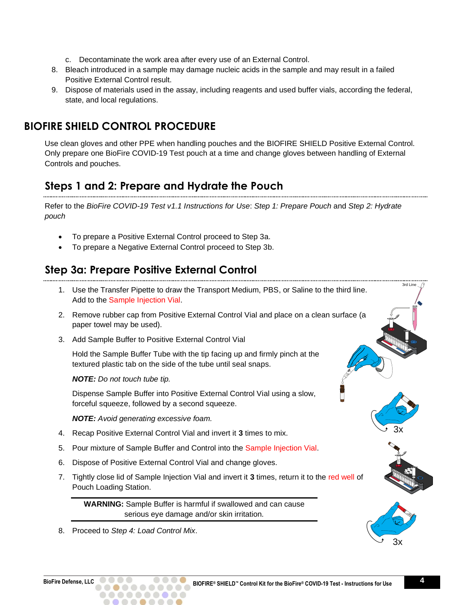- c. Decontaminate the work area after every use of an External Control.
- 8. Bleach introduced in a sample may damage nucleic acids in the sample and may result in a failed Positive External Control result.
- 9. Dispose of materials used in the assay, including reagents and used buffer vials, according the federal, state, and local regulations.

# <span id="page-4-0"></span>**BIOFIRE SHIELD CONTROL PROCEDURE**

Use clean gloves and other PPE when handling pouches and the BIOFIRE SHIELD Positive External Control. Only prepare one BioFire COVID-19 Test pouch at a time and change gloves between handling of External Controls and pouches.

# <span id="page-4-1"></span>**Steps 1 and 2: Prepare and Hydrate the Pouch**

Refer to the *BioFire COVID-19 Test v1.1 Instructions for Use*: *Step 1: Prepare Pouch* and *Step 2: Hydrate pouch*

- To prepare a Positive External Control proceed to Step 3a.
- To prepare a Negative External Control proceed to Step 3b.

# <span id="page-4-2"></span>**Step 3a: Prepare Positive External Control**

- 1. Use the Transfer Pipette to draw the Transport Medium, PBS, or Saline to the third line. Add to the Sample Injection Vial.
- 2. Remove rubber cap from Positive External Control Vial and place on a clean surface (a paper towel may be used).
- 3. Add Sample Buffer to Positive External Control Vial

Hold the Sample Buffer Tube with the tip facing up and firmly pinch at the textured plastic tab on the side of the tube until seal snaps.

*NOTE: Do not touch tube tip.*

Dispense Sample Buffer into Positive External Control Vial using a slow, forceful squeeze, followed by a second squeeze.

*NOTE: Avoid generating excessive foam.* 

- 4. Recap Positive External Control Vial and invert it **3** times to mix.
- 5. Pour mixture of Sample Buffer and Control into the Sample Injection Vial.
- 6. Dispose of Positive External Control Vial and change gloves.
- 7. Tightly close lid of Sample Injection Vial and invert it **3** times, return it to the red well of Pouch Loading Station.

**WARNING:** Sample Buffer is harmful if swallowed and can cause serious eye damage and/or skin irritation.

8. Proceed to *Step 4: Load Control Mix*.



3rd Line

3x

3x

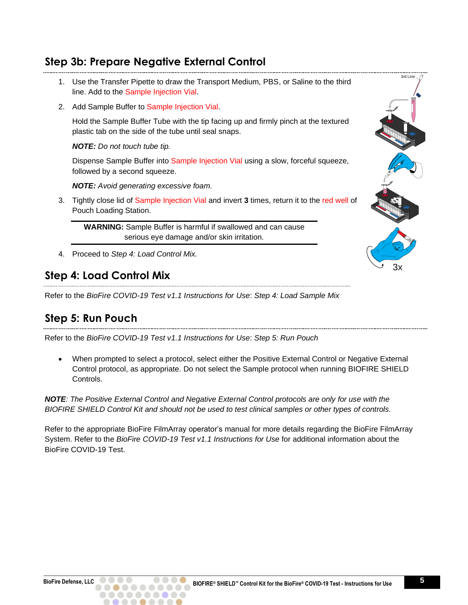# <span id="page-5-0"></span>**Step 3b: Prepare Negative External Control**

- 1. Use the Transfer Pipette to draw the Transport Medium, PBS, or Saline to the third line. Add to the Sample Injection Vial.
- 2. Add Sample Buffer to Sample Injection Vial.

Hold the Sample Buffer Tube with the tip facing up and firmly pinch at the textured plastic tab on the side of the tube until seal snaps.

*NOTE: Do not touch tube tip.*

Dispense Sample Buffer into Sample Injection Vial using a slow, forceful squeeze, followed by a second squeeze.

*NOTE: Avoid generating excessive foam.* 

3. Tightly close lid of Sample Injection Vial and invert **3** times, return it to the red well of Pouch Loading Station.

**WARNING:** Sample Buffer is harmful if swallowed and can cause serious eye damage and/or skin irritation.

4. Proceed to *Step 4: Load Control Mix.*

## <span id="page-5-1"></span>**Step 4: Load Control Mix**

Refer to the *BioFire COVID-19 Test v1.1 Instructions for Use*: *Step 4: Load Sample Mix*

# <span id="page-5-2"></span>**Step 5: Run Pouch**

Refer to the *BioFire COVID-19 Test v1.1 Instructions for Use*: *Step 5: Run Pouch*

• When prompted to select a protocol, select either the Positive External Control or Negative External Control protocol, as appropriate. Do not select the Sample protocol when running BIOFIRE SHIELD Controls.

*NOTE: The Positive External Control and Negative External Control protocols are only for use with the BIOFIRE SHIELD Control Kit and should not be used to test clinical samples or other types of controls.*

Refer to the appropriate BioFire FilmArray operator's manual for more details regarding the BioFire FilmArray System. Refer to the *BioFire COVID-19 Test v1.1 Instructions for Use* for additional information about the BioFire COVID-19 Test.

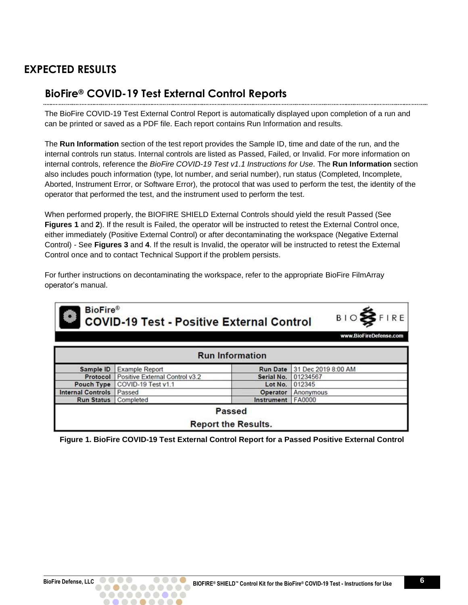# <span id="page-6-1"></span><span id="page-6-0"></span>**EXPECTED RESULTS**

## **BioFire® COVID-19 Test External Control Reports**

The BioFire COVID-19 Test External Control Report is automatically displayed upon completion of a run and can be printed or saved as a PDF file. Each report contains Run Information and results.

The **Run Information** section of the test report provides the Sample ID, time and date of the run, and the internal controls run status. Internal controls are listed as Passed, Failed, or Invalid. For more information on internal controls, reference the *BioFire COVID-19 Test v1.1 Instructions for Use*. The **Run Information** section also includes pouch information (type, lot number, and serial number), run status (Completed, Incomplete, Aborted, Instrument Error, or Software Error), the protocol that was used to perform the test, the identity of the operator that performed the test, and the instrument used to perform the test.

When performed properly, the BIOFIRE SHIELD External Controls should yield the result Passed (See **Figures 1** and **2**). If the result is Failed, the operator will be instructed to retest the External Control once, either immediately (Positive External Control) or after decontaminating the workspace (Negative External Control) - See **Figures 3** and **4**. If the result is Invalid, the operator will be instructed to retest the External Control once and to contact Technical Support if the problem persists.

For further instructions on decontaminating the workspace, refer to the appropriate BioFire FilmArray operator's manual.

| <b>BioFire®</b><br><b>BIOSFIRE</b><br><b>COVID-19 Test - Positive External Control</b><br>www.BioFireDefense.com |                                |                            |                     |  |
|------------------------------------------------------------------------------------------------------------------|--------------------------------|----------------------------|---------------------|--|
|                                                                                                                  |                                | <b>Run Information</b>     |                     |  |
| Sample ID                                                                                                        | <b>Example Report</b>          | <b>Run Date</b>            | 31 Dec 2019 8:00 AM |  |
| Protocol                                                                                                         | Positive External Control v3.2 | Serial No.                 | 01234567            |  |
| Pouch Type                                                                                                       | COVID-19 Test v1.1             | Lot No.                    | 012345              |  |
| <b>Internal Controls</b>                                                                                         | Passed                         | Operator                   | Anonymous           |  |
| <b>Run Status</b>                                                                                                | Completed                      | Instrument                 | FA0000              |  |
|                                                                                                                  |                                | Passed                     |                     |  |
|                                                                                                                  |                                | <b>Report the Results.</b> |                     |  |

**Figure 1. BioFire COVID-19 Test External Control Report for a Passed Positive External Control**

..........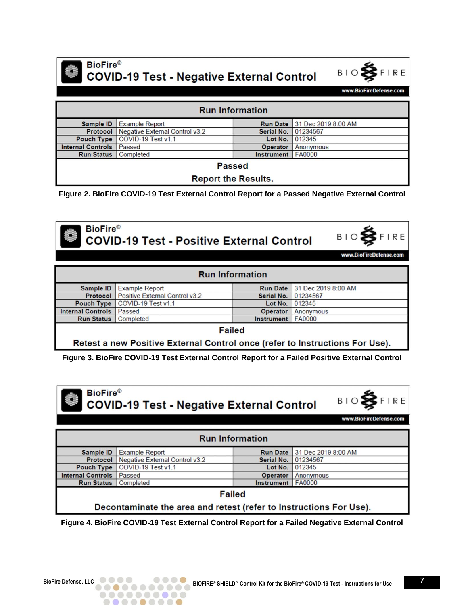

**BioFire® COVID-19 Test - Negative External Control** 



www.BioFireDefense.com

| <b>Run Information</b>                                               |                                |            |                                     |  |
|----------------------------------------------------------------------|--------------------------------|------------|-------------------------------------|--|
| Sample ID                                                            | <b>Example Report</b>          |            | <b>Run Date 31 Dec 2019 8:00 AM</b> |  |
| Protocol                                                             | Negative External Control v3.2 | Serial No. | 01234567                            |  |
| COVID-19 Test v1.1<br>012345<br>Lot No.<br><b>Pouch Type</b>         |                                |            |                                     |  |
| <b>Internal Controls</b><br>Passed<br>Operator<br>Anonymous          |                                |            |                                     |  |
| Completed<br><b>FA0000</b><br><b>Run Status</b><br><b>Instrument</b> |                                |            |                                     |  |
| <b>Passed</b>                                                        |                                |            |                                     |  |
| <b>Report the Results.</b>                                           |                                |            |                                     |  |

**Figure 2. BioFire COVID-19 Test External Control Report for a Passed Negative External Control**



**BioFire® COVID-19 Test - Positive External Control** 



www.BioFireDefense.com

| <b>Run Information</b>                                                       |                                |            |                              |  |
|------------------------------------------------------------------------------|--------------------------------|------------|------------------------------|--|
| Sample ID                                                                    | <b>Example Report</b>          |            | Run Date 31 Dec 2019 8:00 AM |  |
| Protocol                                                                     | Positive External Control v3.2 | Serial No. | 01234567                     |  |
| <b>Pouch Type</b>                                                            | COVID-19 Test v1.1             | Lot No.    | 012345                       |  |
| <b>Internal Controls   Passed</b><br><b>Operator</b><br>Anonymous            |                                |            |                              |  |
| <b>Run Status</b> Completed<br>Instrument   FA0000                           |                                |            |                              |  |
| <b>Failed</b>                                                                |                                |            |                              |  |
| Retest a new Positive External Control once (refer to Instructions For Use). |                                |            |                              |  |

**Figure 3. BioFire COVID-19 Test External Control Report for a Failed Positive External Control**



**COVID-19 Test - Negative External Control** 



www.BioFireDefense.com

| <b>Run Information</b>                                             |                                         |                   |                                     |  |
|--------------------------------------------------------------------|-----------------------------------------|-------------------|-------------------------------------|--|
| Sample ID                                                          | <b>Example Report</b>                   |                   | <b>Run Date 31 Dec 2019 8:00 AM</b> |  |
|                                                                    | Protocol Negative External Control v3.2 | Serial No.        | 01234567                            |  |
| <b>Pouch Type</b>                                                  | COVID-19 Test v1.1                      | Lot No.           | 012345                              |  |
| <b>Internal Controls   Passed</b>                                  |                                         | Operator          | Anonymous                           |  |
| <b>Run Status</b>   Completed                                      |                                         | <b>Instrument</b> | <b>FA0000</b>                       |  |
| <b>Failed</b>                                                      |                                         |                   |                                     |  |
| Decontaminate the area and retest (refer to Instructions For Use). |                                         |                   |                                     |  |

**Figure 4. BioFire COVID-19 Test External Control Report for a Failed Negative External Control**

. . . . . . . . . .  $\bullet\bullet\bullet\bullet$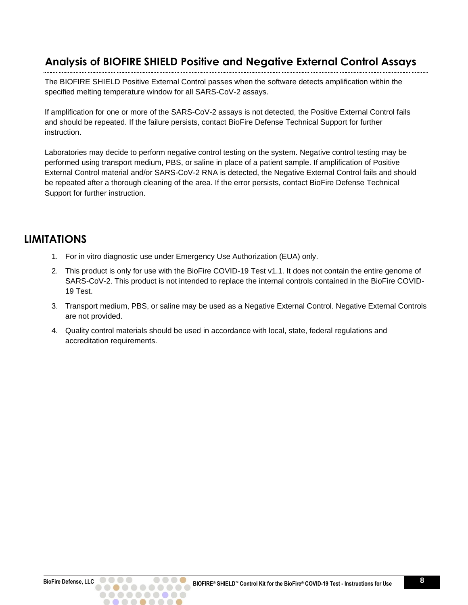# <span id="page-8-0"></span>**Analysis of BIOFIRE SHIELD Positive and Negative External Control Assays**

The BIOFIRE SHIELD Positive External Control passes when the software detects amplification within the specified melting temperature window for all SARS-CoV-2 assays.

If amplification for one or more of the SARS-CoV-2 assays is not detected, the Positive External Control fails and should be repeated. If the failure persists, contact BioFire Defense Technical Support for further instruction.

Laboratories may decide to perform negative control testing on the system. Negative control testing may be performed using transport medium, PBS, or saline in place of a patient sample. If amplification of Positive External Control material and/or SARS-CoV-2 RNA is detected, the Negative External Control fails and should be repeated after a thorough cleaning of the area. If the error persists, contact BioFire Defense Technical Support for further instruction.

#### <span id="page-8-1"></span>**LIMITATIONS**

- 1. For in vitro diagnostic use under Emergency Use Authorization (EUA) only.
- 2. This product is only for use with the BioFire COVID-19 Test v1.1. It does not contain the entire genome of SARS-CoV-2. This product is not intended to replace the internal controls contained in the BioFire COVID-19 Test.
- 3. Transport medium, PBS, or saline may be used as a Negative External Control. Negative External Controls are not provided.
- 4. Quality control materials should be used in accordance with local, state, federal regulations and accreditation requirements.

. . . . . . . . . .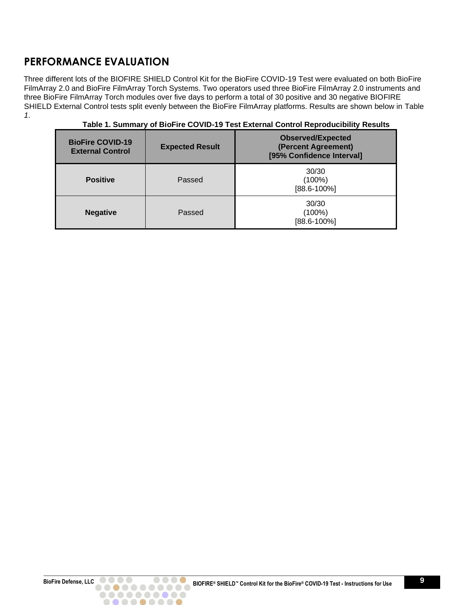# <span id="page-9-0"></span>**PERFORMANCE EVALUATION**

Three different lots of the BIOFIRE SHIELD Control Kit for the BioFire COVID-19 Test were evaluated on both BioFire FilmArray 2.0 and BioFire FilmArray Torch Systems. Two operators used three BioFire FilmArray 2.0 instruments and three BioFire FilmArray Torch modules over five days to perform a total of 30 positive and 30 negative BIOFIRE SHIELD External Control tests split evenly between the BioFire FilmArray platforms. Results are shown below in [Table](#page-9-1)  *[1](#page-9-1)*.

<span id="page-9-1"></span>

| <b>BioFire COVID-19</b><br><b>External Control</b> | <b>Expected Result</b> | <b>Observed/Expected</b><br>(Percent Agreement)<br>[95% Confidence Interval] |
|----------------------------------------------------|------------------------|------------------------------------------------------------------------------|
| <b>Positive</b>                                    | Passed                 | 30/30<br>$(100\%)$<br>$[88.6 - 100\%]$                                       |
| <b>Negative</b>                                    | Passed                 | 30/30<br>$(100\%)$<br>$[88.6 - 100\%]$                                       |

#### **Table 1. Summary of BioFire COVID-19 Test External Control Reproducibility Results**

..........  $\begin{array}{ccccccccccccccccc} \bullet & \bullet & \bullet & \bullet & \bullet & \bullet & \bullet & \bullet \end{array}$ 

 $\bullet$ 

 $\bigcirc$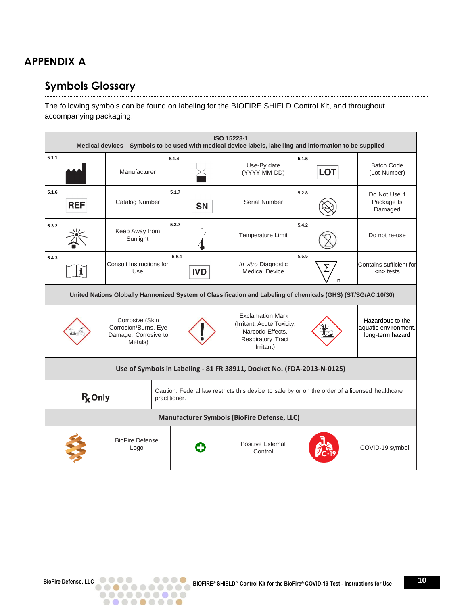# <span id="page-10-1"></span><span id="page-10-0"></span>**APPENDIX A**

#### **Symbols Glossary** . . . . . . . .

The following symbols can be found on labeling for the BIOFIRE SHIELD Control Kit, and throughout accompanying packaging.

|       | ISO 15223-1<br>Medical devices - Symbols to be used with medical device labels, labelling and information to be supplied                      |                                                                            |                     |                                                                                                              |                     |                                                              |
|-------|-----------------------------------------------------------------------------------------------------------------------------------------------|----------------------------------------------------------------------------|---------------------|--------------------------------------------------------------------------------------------------------------|---------------------|--------------------------------------------------------------|
| 5.1.1 |                                                                                                                                               | Manufacturer                                                               | 5.1.4               | Use-By date<br>(YYYY-MM-DD)                                                                                  | 5.1.5<br><b>LOT</b> | <b>Batch Code</b><br>(Lot Number)                            |
| 5.1.6 | <b>REF</b>                                                                                                                                    | <b>Catalog Number</b>                                                      | 5.1.7<br><b>SN</b>  | Serial Number                                                                                                | 5.2.8               | Do Not Use if<br>Package Is<br>Damaged                       |
| 5.3.2 |                                                                                                                                               | Keep Away from<br>Sunlight                                                 | 5.3.7               | Temperature Limit                                                                                            | 5.4.2               | Do not re-use                                                |
| 5.4.3 | $\mathbf{i}$                                                                                                                                  | Consult Instructions for<br>Use                                            | 5.5.1<br><b>IVD</b> | In vitro Diagnostic<br><b>Medical Device</b>                                                                 | 5.5.5<br>n          | Contains sufficient for<br>$n$ tests                         |
|       | United Nations Globally Harmonized System of Classification and Labeling of chemicals (GHS) (ST/SG/AC.10/30)                                  |                                                                            |                     |                                                                                                              |                     |                                                              |
|       |                                                                                                                                               | Corrosive (Skin<br>Corrosion/Burns, Eye<br>Damage, Corrosive to<br>Metals) |                     | <b>Exclamation Mark</b><br>(Irritant, Acute Toxicity,<br>Narcotic Effects,<br>Respiratory Tract<br>Irritant) |                     | Hazardous to the<br>aquatic environment,<br>long-term hazard |
|       | Use of Symbols in Labeling - 81 FR 38911, Docket No. (FDA-2013-N-0125)                                                                        |                                                                            |                     |                                                                                                              |                     |                                                              |
|       | Caution: Federal law restricts this device to sale by or on the order of a licensed healthcare<br><b>R</b> <sub>c</sub> Only<br>practitioner. |                                                                            |                     |                                                                                                              |                     |                                                              |
|       | Manufacturer Symbols (BioFire Defense, LLC)                                                                                                   |                                                                            |                     |                                                                                                              |                     |                                                              |
|       |                                                                                                                                               | <b>BioFire Defense</b><br>Logo                                             |                     | <b>Positive External</b><br>Control                                                                          |                     | COVID-19 symbol                                              |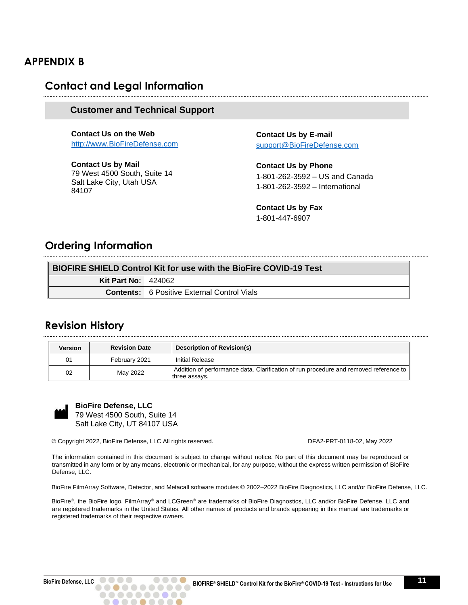### <span id="page-11-1"></span><span id="page-11-0"></span>**APPENDIX B**

#### **Contact and Legal Information**

#### <span id="page-11-2"></span>**Customer and Technical Support**

**Contact Us on the Web**  [http://www.BioFireDefense.com](http://www.biofiredefense.com/)

**Contact Us by Mail** 79 West 4500 South, Suite 14 Salt Lake City, Utah USA 84107

**Contact Us by E-mail** [support@BioFireDefense.com](mailto:support@BioFireDefense.com)

**Contact Us by Phone**  1-801-262-3592 – US and Canada 1-801-262-3592 – International

**Contact Us by Fax**  1-801-447-6907

### <span id="page-11-3"></span>**Ordering Information**

| <b>BIOFIRE SHIELD Control Kit for use with the BioFire COVID-19 Test</b> |                                                      |  |
|--------------------------------------------------------------------------|------------------------------------------------------|--|
| <b>Kit Part No: 424062</b>                                               |                                                      |  |
|                                                                          | <b>Contents:</b>   6 Positive External Control Vials |  |

#### <span id="page-11-4"></span>**Revision History**

| Version | <b>Revision Date</b> | <b>Description of Revision(s)</b>                                                                      |
|---------|----------------------|--------------------------------------------------------------------------------------------------------|
| 01      | February 2021        | <b>Initial Release</b>                                                                                 |
| 02      | May 2022             | Addition of performance data. Clarification of run procedure and removed reference to<br>three assays. |



**BioFire Defense, LLC**  79 West 4500 South, Suite 14 Salt Lake City, UT 84107 USA

© Copyright 2022, BioFire Defense, LLC All rights reserved. DFA2-PRT-0118-02, May 2022

..........  $\bullet$   $\bullet$ 

The information contained in this document is subject to change without notice. No part of this document may be reproduced or transmitted in any form or by any means, electronic or mechanical, for any purpose, without the express written permission of BioFire Defense, LLC.

BioFire FilmArray Software, Detector, and Metacall software modules © 2002–2022 BioFire Diagnostics, LLC and/or BioFire Defense, LLC.

BioFire®, the BioFire logo, FilmArray® and LCGreen® are trademarks of BioFire Diagnostics, LLC and/or BioFire Defense, LLC and are registered trademarks in the United States. All other names of products and brands appearing in this manual are trademarks or registered trademarks of their respective owners.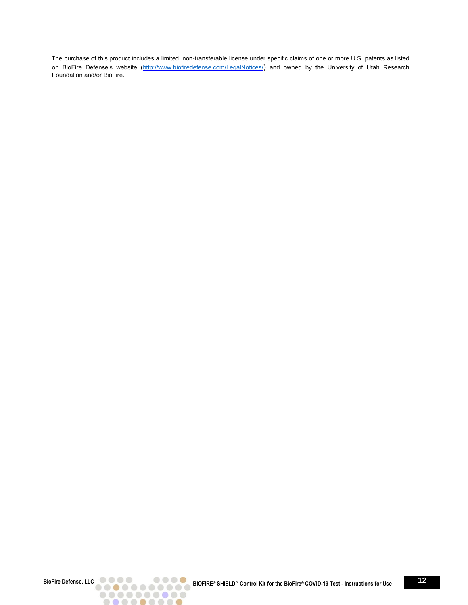The purchase of this product includes a limited, non-transferable license under specific claims of one or more U.S. patents as listed on BioFire Defense's website [\(http://www.biofiredefense.com/LegalNotices/](http://www.biofiredefense.com/LegalNotices/)[\)](http://www.biofiredx.com/LegalNotices/) and owned by the University of Utah Research Foundation and/or BioFire.